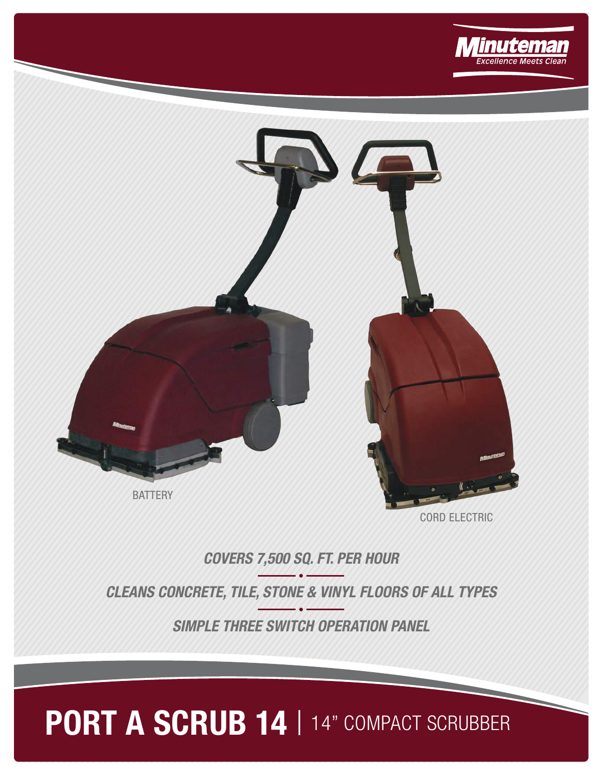



**COVERS 7,500 SQ. FT. PER HOUR**

**CLEANS CONCRETE, TILE, STONE & VINYL FLOORS OF ALL TYPES**

**SIMPLE THREE SWITCH OPERATION PANEL**

## PORT A SCRUB 14 | 14" COMPACT SCRUBBER